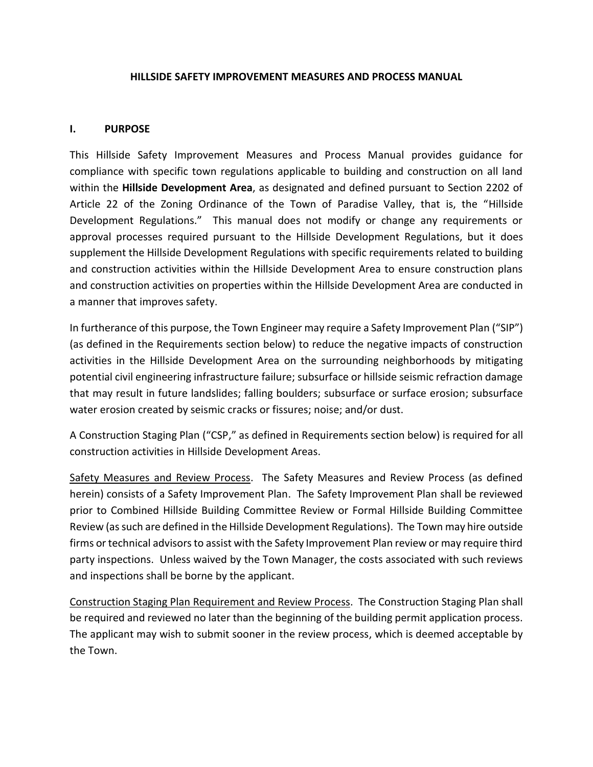#### **HILLSIDE SAFETY IMPROVEMENT MEASURES AND PROCESS MANUAL**

### **I. PURPOSE**

This Hillside Safety Improvement Measures and Process Manual provides guidance for compliance with specific town regulations applicable to building and construction on all land within the **Hillside Development Area**, as designated and defined pursuant to Section 2202 of Article 22 of the Zoning Ordinance of the Town of Paradise Valley, that is, the "Hillside Development Regulations." This manual does not modify or change any requirements or approval processes required pursuant to the Hillside Development Regulations, but it does supplement the Hillside Development Regulations with specific requirements related to building and construction activities within the Hillside Development Area to ensure construction plans and construction activities on properties within the Hillside Development Area are conducted in a manner that improves safety.

In furtherance of this purpose, the Town Engineer may require a Safety Improvement Plan ("SIP") (as defined in the Requirements section below) to reduce the negative impacts of construction activities in the Hillside Development Area on the surrounding neighborhoods by mitigating potential civil engineering infrastructure failure; subsurface or hillside seismic refraction damage that may result in future landslides; falling boulders; subsurface or surface erosion; subsurface water erosion created by seismic cracks or fissures; noise; and/or dust.

A Construction Staging Plan ("CSP," as defined in Requirements section below) is required for all construction activities in Hillside Development Areas.

Safety Measures and Review Process. The Safety Measures and Review Process (as defined herein) consists of a Safety Improvement Plan. The Safety Improvement Plan shall be reviewed prior to Combined Hillside Building Committee Review or Formal Hillside Building Committee Review (as such are defined in the Hillside Development Regulations). The Town may hire outside firms or technical advisors to assist with the Safety Improvement Plan review or may require third party inspections. Unless waived by the Town Manager, the costs associated with such reviews and inspections shall be borne by the applicant.

Construction Staging Plan Requirement and Review Process. The Construction Staging Plan shall be required and reviewed no later than the beginning of the building permit application process. The applicant may wish to submit sooner in the review process, which is deemed acceptable by the Town.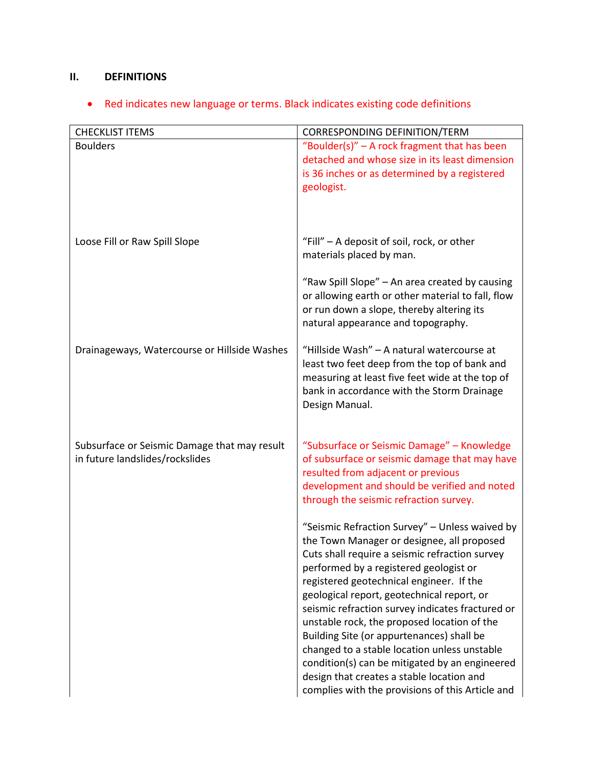# **II. DEFINITIONS**

# • Red indicates new language or terms. Black indicates existing code definitions

| <b>CHECKLIST ITEMS</b>                                                          | <b>CORRESPONDING DEFINITION/TERM</b>                                                                                                                                                                                                                                                                                                                                                                                                                                                                                                                                                                                                  |  |
|---------------------------------------------------------------------------------|---------------------------------------------------------------------------------------------------------------------------------------------------------------------------------------------------------------------------------------------------------------------------------------------------------------------------------------------------------------------------------------------------------------------------------------------------------------------------------------------------------------------------------------------------------------------------------------------------------------------------------------|--|
| <b>Boulders</b>                                                                 | "Boulder(s)" $-$ A rock fragment that has been<br>detached and whose size in its least dimension<br>is 36 inches or as determined by a registered<br>geologist.                                                                                                                                                                                                                                                                                                                                                                                                                                                                       |  |
| Loose Fill or Raw Spill Slope                                                   | "Fill" - A deposit of soil, rock, or other<br>materials placed by man.                                                                                                                                                                                                                                                                                                                                                                                                                                                                                                                                                                |  |
|                                                                                 | "Raw Spill Slope" - An area created by causing<br>or allowing earth or other material to fall, flow<br>or run down a slope, thereby altering its<br>natural appearance and topography.                                                                                                                                                                                                                                                                                                                                                                                                                                                |  |
| Drainageways, Watercourse or Hillside Washes                                    | "Hillside Wash" - A natural watercourse at<br>least two feet deep from the top of bank and<br>measuring at least five feet wide at the top of<br>bank in accordance with the Storm Drainage<br>Design Manual.                                                                                                                                                                                                                                                                                                                                                                                                                         |  |
| Subsurface or Seismic Damage that may result<br>in future landslides/rockslides | "Subsurface or Seismic Damage" - Knowledge<br>of subsurface or seismic damage that may have<br>resulted from adjacent or previous<br>development and should be verified and noted<br>through the seismic refraction survey.                                                                                                                                                                                                                                                                                                                                                                                                           |  |
|                                                                                 | "Seismic Refraction Survey" - Unless waived by<br>the Town Manager or designee, all proposed<br>Cuts shall require a seismic refraction survey<br>performed by a registered geologist or<br>registered geotechnical engineer. If the<br>geological report, geotechnical report, or<br>seismic refraction survey indicates fractured or<br>unstable rock, the proposed location of the<br>Building Site (or appurtenances) shall be<br>changed to a stable location unless unstable<br>condition(s) can be mitigated by an engineered<br>design that creates a stable location and<br>complies with the provisions of this Article and |  |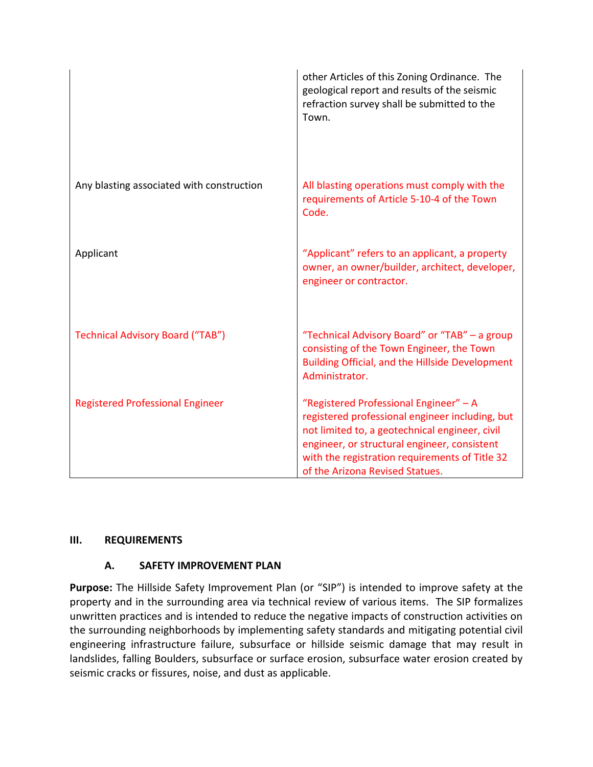|                                           | other Articles of this Zoning Ordinance. The<br>geological report and results of the seismic<br>refraction survey shall be submitted to the<br>Town.                                                                                                                             |
|-------------------------------------------|----------------------------------------------------------------------------------------------------------------------------------------------------------------------------------------------------------------------------------------------------------------------------------|
| Any blasting associated with construction | All blasting operations must comply with the<br>requirements of Article 5-10-4 of the Town<br>Code.                                                                                                                                                                              |
| Applicant                                 | "Applicant" refers to an applicant, a property<br>owner, an owner/builder, architect, developer,<br>engineer or contractor.                                                                                                                                                      |
| <b>Technical Advisory Board ("TAB")</b>   | "Technical Advisory Board" or "TAB" - a group<br>consisting of the Town Engineer, the Town<br><b>Building Official, and the Hillside Development</b><br>Administrator.                                                                                                           |
| <b>Registered Professional Engineer</b>   | "Registered Professional Engineer" - A<br>registered professional engineer including, but<br>not limited to, a geotechnical engineer, civil<br>engineer, or structural engineer, consistent<br>with the registration requirements of Title 32<br>of the Arizona Revised Statues. |

## **III. REQUIREMENTS**

#### **A. SAFETY IMPROVEMENT PLAN**

**Purpose:** The Hillside Safety Improvement Plan (or "SIP") is intended to improve safety at the property and in the surrounding area via technical review of various items. The SIP formalizes unwritten practices and is intended to reduce the negative impacts of construction activities on the surrounding neighborhoods by implementing safety standards and mitigating potential civil engineering infrastructure failure, subsurface or hillside seismic damage that may result in landslides, falling Boulders, subsurface or surface erosion, subsurface water erosion created by seismic cracks or fissures, noise, and dust as applicable.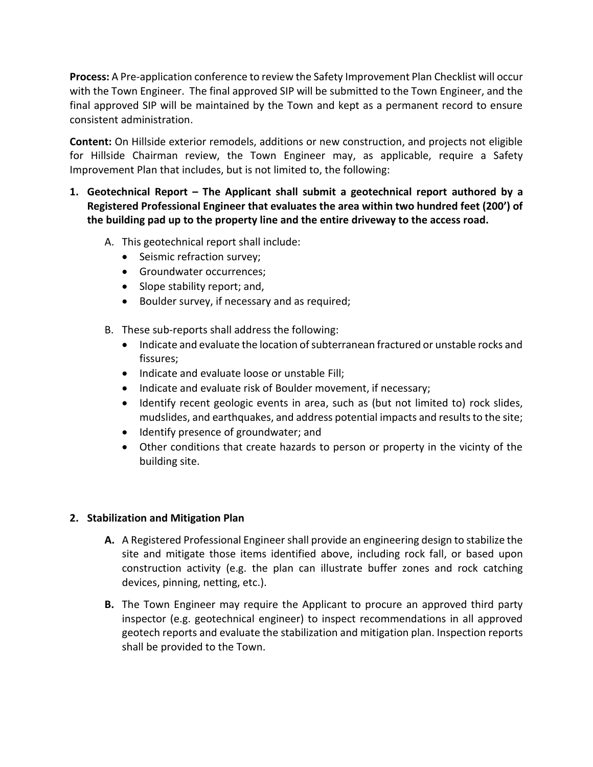**Process:** A Pre-application conference to review the Safety Improvement Plan Checklist will occur with the Town Engineer. The final approved SIP will be submitted to the Town Engineer, and the final approved SIP will be maintained by the Town and kept as a permanent record to ensure consistent administration.

**Content:** On Hillside exterior remodels, additions or new construction, and projects not eligible for Hillside Chairman review, the Town Engineer may, as applicable, require a Safety Improvement Plan that includes, but is not limited to, the following:

## **1. Geotechnical Report – The Applicant shall submit a geotechnical report authored by a Registered Professional Engineer that evaluates the area within two hundred feet (200') of the building pad up to the property line and the entire driveway to the access road.**

- A. This geotechnical report shall include:
	- Seismic refraction survey;
	- Groundwater occurrences;
	- Slope stability report; and,
	- Boulder survey, if necessary and as required;
- B. These sub-reports shall address the following:
	- Indicate and evaluate the location of subterranean fractured or unstable rocks and fissures;
	- Indicate and evaluate loose or unstable Fill;
	- Indicate and evaluate risk of Boulder movement, if necessary;
	- Identify recent geologic events in area, such as (but not limited to) rock slides, mudslides, and earthquakes, and address potential impacts and results to the site;
	- Identify presence of groundwater; and
	- Other conditions that create hazards to person or property in the vicinty of the building site.

## **2. Stabilization and Mitigation Plan**

- **A.** A Registered Professional Engineer shall provide an engineering design to stabilize the site and mitigate those items identified above, including rock fall, or based upon construction activity (e.g. the plan can illustrate buffer zones and rock catching devices, pinning, netting, etc.).
- **B.** The Town Engineer may require the Applicant to procure an approved third party inspector (e.g. geotechnical engineer) to inspect recommendations in all approved geotech reports and evaluate the stabilization and mitigation plan. Inspection reports shall be provided to the Town.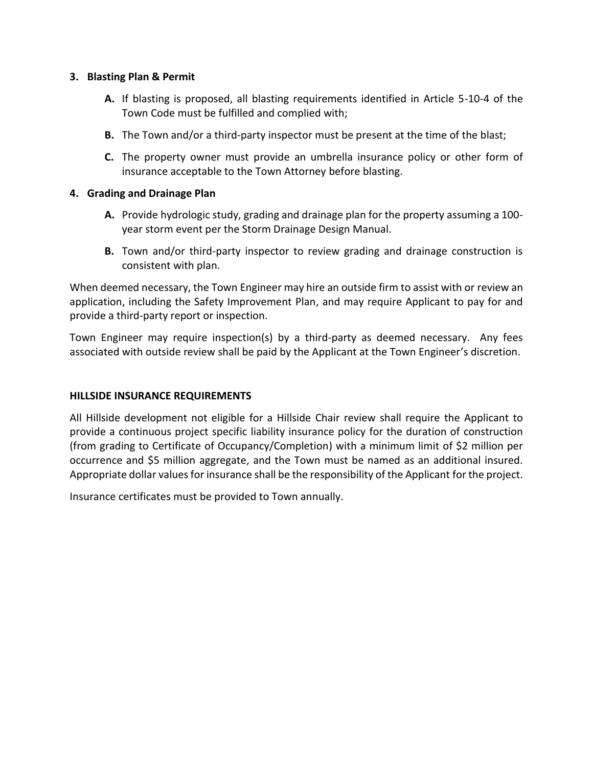#### **3. Blasting Plan & Permit**

- **A.** If blasting is proposed, all blasting requirements identified in Article 5-10-4 of the Town Code must be fulfilled and complied with;
- **B.** The Town and/or a third-party inspector must be present at the time of the blast;
- **C.** The property owner must provide an umbrella insurance policy or other form of insurance acceptable to the Town Attorney before blasting.

## **4. Grading and Drainage Plan**

- **A.** Provide hydrologic study, grading and drainage plan for the property assuming a 100 year storm event per the Storm Drainage Design Manual.
- **B.** Town and/or third-party inspector to review grading and drainage construction is consistent with plan.

When deemed necessary, the Town Engineer may hire an outside firm to assist with or review an application, including the Safety Improvement Plan, and may require Applicant to pay for and provide a third-party report or inspection.

Town Engineer may require inspection(s) by a third-party as deemed necessary. Any fees associated with outside review shall be paid by the Applicant at the Town Engineer's discretion.

## **HILLSIDE INSURANCE REQUIREMENTS**

All Hillside development not eligible for a Hillside Chair review shall require the Applicant to provide a continuous project specific liability insurance policy for the duration of construction (from grading to Certificate of Occupancy/Completion) with a minimum limit of \$2 million per occurrence and \$5 million aggregate, and the Town must be named as an additional insured. Appropriate dollar values for insurance shall be the responsibility of the Applicant for the project.

Insurance certificates must be provided to Town annually.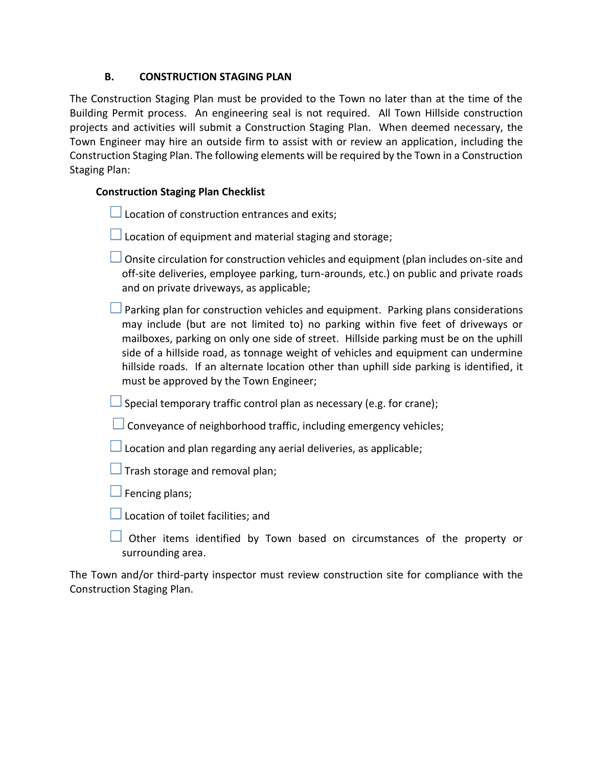## **B. CONSTRUCTION STAGING PLAN**

The Construction Staging Plan must be provided to the Town no later than at the time of the Building Permit process. An engineering seal is not required. All Town Hillside construction projects and activities will submit a Construction Staging Plan. When deemed necessary, the Town Engineer may hire an outside firm to assist with or review an application, including the Construction Staging Plan. The following elements will be required by the Town in a Construction Staging Plan:

### **Construction Staging Plan Checklist**

|  |  | $\Box$ Location of construction entrances and exits; |  |  |
|--|--|------------------------------------------------------|--|--|
|--|--|------------------------------------------------------|--|--|

 $\Box$  Location of equipment and material staging and storage;

 $\Box$  Onsite circulation for construction vehicles and equipment (plan includes on-site and off-site deliveries, employee parking, turn-arounds, etc.) on public and private roads and on private driveways, as applicable;

Parking plan for construction vehicles and equipment. Parking plans considerations may include (but are not limited to) no parking within five feet of driveways or mailboxes, parking on only one side of street. Hillside parking must be on the uphill side of a hillside road, as tonnage weight of vehicles and equipment can undermine hillside roads. If an alternate location other than uphill side parking is identified, it must be approved by the Town Engineer;

 $\Box$  Special temporary traffic control plan as necessary (e.g. for crane);

 $\Box$  Conveyance of neighborhood traffic, including emergency vehicles;

 $\Box$  Location and plan regarding any aerial deliveries, as applicable;

- $\Box$  Trash storage and removal plan;
- $\Box$  Fencing plans;

Location of toilet facilities; and

 $\Box$  Other items identified by Town based on circumstances of the property or surrounding area.

The Town and/or third-party inspector must review construction site for compliance with the Construction Staging Plan.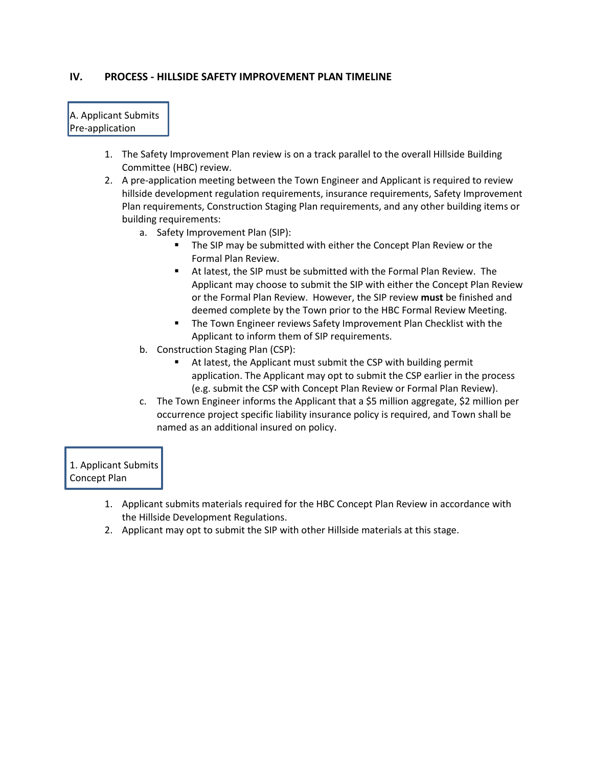#### **IV. PROCESS - HILLSIDE SAFETY IMPROVEMENT PLAN TIMELINE**

## A. Applicant Submits Pre-application

- 1. The Safety Improvement Plan review is on a track parallel to the overall Hillside Building Committee (HBC) review.
- 2. A pre-application meeting between the Town Engineer and Applicant is required to review hillside development regulation requirements, insurance requirements, Safety Improvement Plan requirements, Construction Staging Plan requirements, and any other building items or building requirements:
	- a. Safety Improvement Plan (SIP):
		- The SIP may be submitted with either the Concept Plan Review or the Formal Plan Review.
		- At latest, the SIP must be submitted with the Formal Plan Review. The Applicant may choose to submit the SIP with either the Concept Plan Review or the Formal Plan Review. However, the SIP review **must** be finished and deemed complete by the Town prior to the HBC Formal Review Meeting.
		- The Town Engineer reviews Safety Improvement Plan Checklist with the Applicant to inform them of SIP requirements.
	- b. Construction Staging Plan (CSP):
		- At latest, the Applicant must submit the CSP with building permit application. The Applicant may opt to submit the CSP earlier in the process (e.g. submit the CSP with Concept Plan Review or Formal Plan Review).
	- c. The Town Engineer informs the Applicant that a \$5 million aggregate, \$2 million per occurrence project specific liability insurance policy is required, and Town shall be named as an additional insured on policy.

1. Applicant Submits Concept Plan

- 1. Applicant submits materials required for the HBC Concept Plan Review in accordance with the Hillside Development Regulations.
- 2. Applicant may opt to submit the SIP with other Hillside materials at this stage.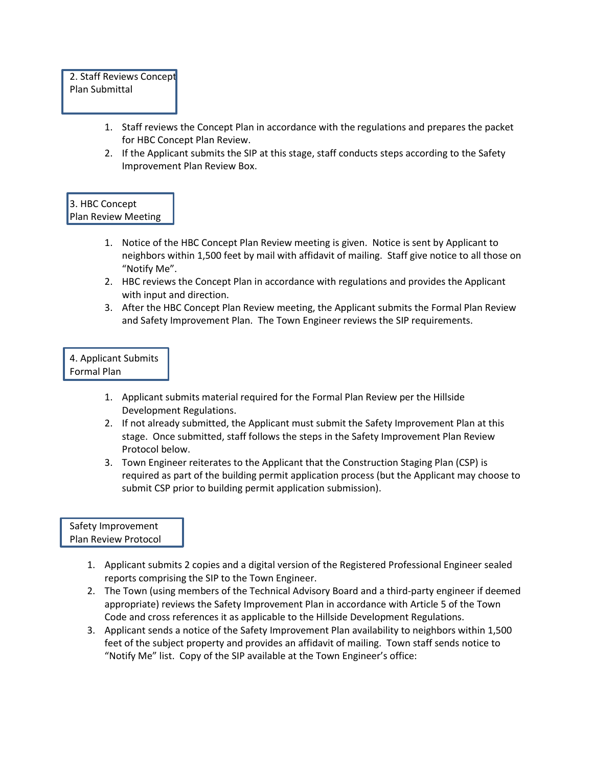## 2. Staff Reviews Concept Plan Submittal

- 1. Staff reviews the Concept Plan in accordance with the regulations and prepares the packet for HBC Concept Plan Review.
- 2. If the Applicant submits the SIP at this stage, staff conducts steps according to the Safety Improvement Plan Review Box.

## 3. HBC Concept Plan Review Meeting

- 1. Notice of the HBC Concept Plan Review meeting is given. Notice is sent by Applicant to neighbors within 1,500 feet by mail with affidavit of mailing. Staff give notice to all those on "Notify Me".
- 2. HBC reviews the Concept Plan in accordance with regulations and provides the Applicant with input and direction.
- 3. After the HBC Concept Plan Review meeting, the Applicant submits the Formal Plan Review and Safety Improvement Plan. The Town Engineer reviews the SIP requirements.

### 4. Applicant Submits Formal Plan

- 1. Applicant submits material required for the Formal Plan Review per the Hillside Development Regulations.
- 2. If not already submitted, the Applicant must submit the Safety Improvement Plan at this stage. Once submitted, staff follows the steps in the Safety Improvement Plan Review Protocol below.
- 3. Town Engineer reiterates to the Applicant that the Construction Staging Plan (CSP) is required as part of the building permit application process (but the Applicant may choose to submit CSP prior to building permit application submission).

#### Safety Improvement Plan Review Protocol

- 1. Applicant submits 2 copies and a digital version of the Registered Professional Engineer sealed reports comprising the SIP to the Town Engineer.
- 2. The Town (using members of the Technical Advisory Board and a third-party engineer if deemed appropriate) reviews the Safety Improvement Plan in accordance with Article 5 of the Town Code and cross references it as applicable to the Hillside Development Regulations.
- 3. Applicant sends a notice of the Safety Improvement Plan availability to neighbors within 1,500 feet of the subject property and provides an affidavit of mailing. Town staff sends notice to "Notify Me" list. Copy of the SIP available at the Town Engineer's office: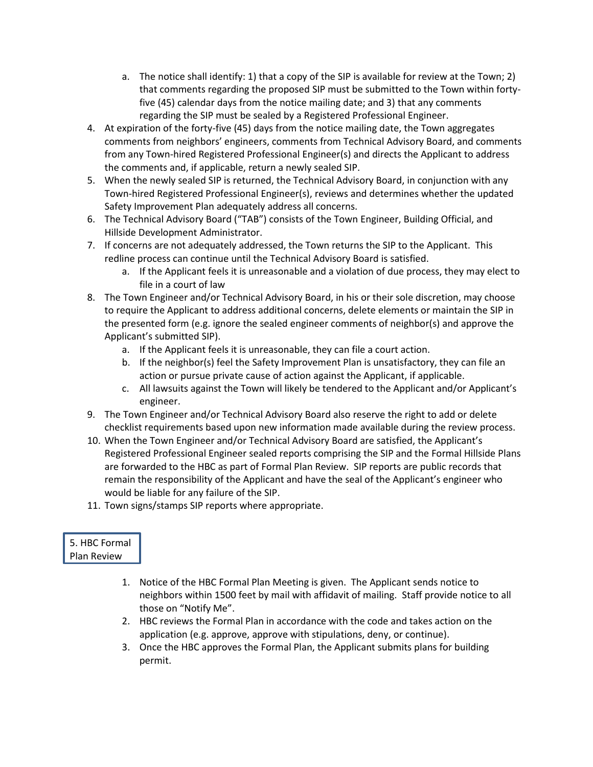- a. The notice shall identify: 1) that a copy of the SIP is available for review at the Town; 2) that comments regarding the proposed SIP must be submitted to the Town within fortyfive (45) calendar days from the notice mailing date; and 3) that any comments regarding the SIP must be sealed by a Registered Professional Engineer.
- 4. At expiration of the forty-five (45) days from the notice mailing date, the Town aggregates comments from neighbors' engineers, comments from Technical Advisory Board, and comments from any Town-hired Registered Professional Engineer(s) and directs the Applicant to address the comments and, if applicable, return a newly sealed SIP.
- 5. When the newly sealed SIP is returned, the Technical Advisory Board, in conjunction with any Town-hired Registered Professional Engineer(s), reviews and determines whether the updated Safety Improvement Plan adequately address all concerns.
- 6. The Technical Advisory Board ("TAB") consists of the Town Engineer, Building Official, and Hillside Development Administrator.
- 7. If concerns are not adequately addressed, the Town returns the SIP to the Applicant. This redline process can continue until the Technical Advisory Board is satisfied.
	- a. If the Applicant feels it is unreasonable and a violation of due process, they may elect to file in a court of law
- 8. The Town Engineer and/or Technical Advisory Board, in his or their sole discretion, may choose to require the Applicant to address additional concerns, delete elements or maintain the SIP in the presented form (e.g. ignore the sealed engineer comments of neighbor(s) and approve the Applicant's submitted SIP).
	- a. If the Applicant feels it is unreasonable, they can file a court action.
	- b. If the neighbor(s) feel the Safety Improvement Plan is unsatisfactory, they can file an action or pursue private cause of action against the Applicant, if applicable.
	- c. All lawsuits against the Town will likely be tendered to the Applicant and/or Applicant's engineer.
- 9. The Town Engineer and/or Technical Advisory Board also reserve the right to add or delete checklist requirements based upon new information made available during the review process.
- 10. When the Town Engineer and/or Technical Advisory Board are satisfied, the Applicant's Registered Professional Engineer sealed reports comprising the SIP and the Formal Hillside Plans are forwarded to the HBC as part of Formal Plan Review. SIP reports are public records that remain the responsibility of the Applicant and have the seal of the Applicant's engineer who would be liable for any failure of the SIP.
- 11. Town signs/stamps SIP reports where appropriate.

#### 5. HBC Formal Plan Review

- 1. Notice of the HBC Formal Plan Meeting is given. The Applicant sends notice to neighbors within 1500 feet by mail with affidavit of mailing. Staff provide notice to all those on "Notify Me".
- 2. HBC reviews the Formal Plan in accordance with the code and takes action on the application (e.g. approve, approve with stipulations, deny, or continue).
- 3. Once the HBC approves the Formal Plan, the Applicant submits plans for building permit.